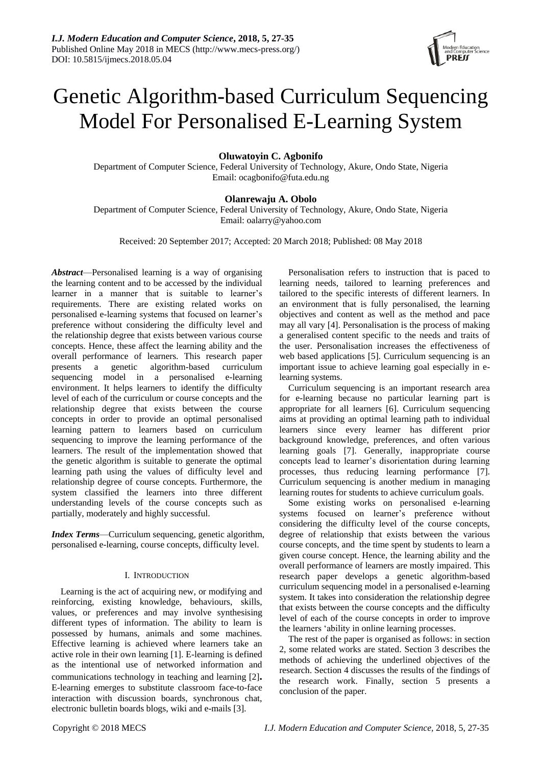

# Genetic Algorithm-based Curriculum Sequencing Model For Personalised E-Learning System

# **Oluwatoyin C. Agbonifo**

Department of Computer Science, Federal University of Technology, Akure, Ondo State, Nigeria Email: [ocagbonifo@futa.edu.ng](mailto:ocagbonifo@futa.edu.ng)

# **Olanrewaju A. Obolo**

Department of Computer Science, Federal University of Technology, Akure, Ondo State, Nigeria Email: [oalarry@yahoo.com](mailto:oalarry@yahoo.com)

Received: 20 September 2017; Accepted: 20 March 2018; Published: 08 May 2018

*Abstract*—Personalised learning is a way of organising the learning content and to be accessed by the individual learner in a manner that is suitable to learner's requirements. There are existing related works on personalised e-learning systems that focused on learner's preference without considering the difficulty level and the relationship degree that exists between various course concepts. Hence, these affect the learning ability and the overall performance of learners. This research paper presents a genetic algorithm-based curriculum sequencing model in a personalised e-learning environment. It helps learners to identify the difficulty level of each of the curriculum or course concepts and the relationship degree that exists between the course concepts in order to provide an optimal personalised learning pattern to learners based on curriculum sequencing to improve the learning performance of the learners. The result of the implementation showed that the genetic algorithm is suitable to generate the optimal learning path using the values of difficulty level and relationship degree of course concepts. Furthermore, the system classified the learners into three different understanding levels of the course concepts such as partially, moderately and highly successful.

*Index Terms*—Curriculum sequencing, genetic algorithm, personalised e-learning, course concepts, difficulty level.

# I. INTRODUCTION

Learning is the act of acquiring new, or modifying and reinforcing, existing knowledge, behaviours, skills, values, or preferences and may involve synthesising different types of information. The ability to learn is possessed by humans, animals and some machines. Effective learning is achieved where learners take an active role in their own learning [1]. E-learning is defined as the intentional use of networked information and communications technology in teaching and learning [2]**.** E-learning emerges to substitute classroom face-to-face interaction with discussion boards, synchronous chat, electronic bulletin boards blogs, wiki and e-mails [3].

Personalisation refers to instruction that is paced to learning needs, tailored to learning preferences and tailored to the specific interests of different learners. In an environment that is fully personalised, the learning objectives and content as well as the method and pace may all vary [4]. Personalisation is the process of making a generalised content specific to the needs and traits of the user. Personalisation increases the effectiveness of web based applications [5]. Curriculum sequencing is an important issue to achieve learning goal especially in elearning systems.

Curriculum sequencing is an important research area for e-learning because no particular learning part is appropriate for all learners [6]. Curriculum sequencing aims at providing an optimal learning path to individual learners since every learner has different prior background knowledge, preferences, and often various learning goals [7]. Generally, inappropriate course concepts lead to learner's disorientation during learning processes, thus reducing learning performance [7]. Curriculum sequencing is another medium in managing learning routes for students to achieve curriculum goals.

Some existing works on personalised e-learning systems focused on learner's preference without considering the difficulty level of the course concepts, degree of relationship that exists between the various course concepts, and the time spent by students to learn a given course concept. Hence, the learning ability and the overall performance of learners are mostly impaired. This research paper develops a genetic algorithm-based curriculum sequencing model in a personalised e-learning system. It takes into consideration the relationship degree that exists between the course concepts and the difficulty level of each of the course concepts in order to improve the learners 'ability in online learning processes.

The rest of the paper is organised as follows: in section 2, some related works are stated. Section 3 describes the methods of achieving the underlined objectives of the research. Section 4 discusses the results of the findings of the research work. Finally, section 5 presents a conclusion of the paper.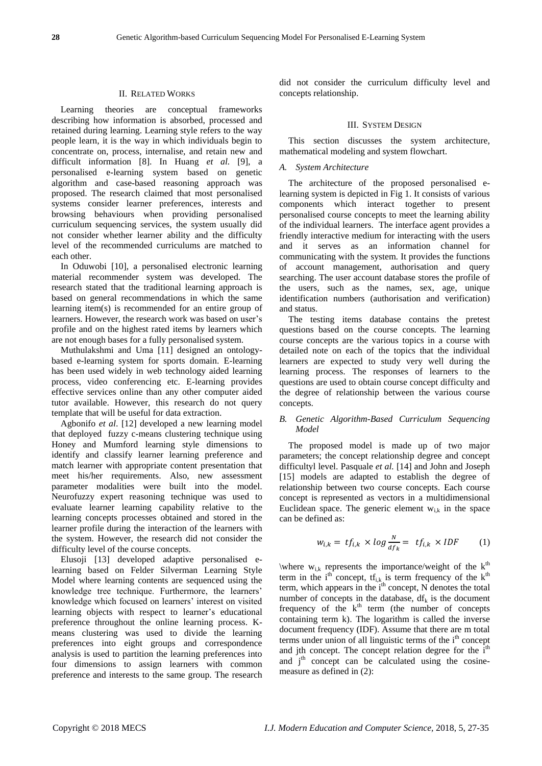#### II. RELATED WORKS

Learning theories are conceptual frameworks describing how information is absorbed, processed and retained during learning. Learning style refers to the way people learn, it is the way in which individuals begin to concentrate on, process, internalise, and retain new and difficult information [8]. In Huang *et al.* [9], a personalised e-learning system based on genetic algorithm and case-based reasoning approach was proposed. The research claimed that most personalised systems consider learner preferences, interests and browsing behaviours when providing personalised curriculum sequencing services, the system usually did not consider whether learner ability and the difficulty level of the recommended curriculums are matched to each other.

In Oduwobi [10], a personalised electronic learning material recommender system was developed. The research stated that the traditional learning approach is based on general recommendations in which the same learning item(s) is recommended for an entire group of learners. However, the research work was based on user's profile and on the highest rated items by learners which are not enough bases for a fully personalised system.

Muthulakshmi and Uma [11] designed an ontologybased e-learning system for sports domain. E-learning has been used widely in web technology aided learning process, video conferencing etc. E-learning provides effective services online than any other computer aided tutor available. However, this research do not query template that will be useful for data extraction.

Agbonifo *et al*. [12] developed a new learning model that deployed fuzzy c-means clustering technique using Honey and Mumford learning style dimensions to identify and classify learner learning preference and match learner with appropriate content presentation that meet his/her requirements. Also, new assessment parameter modalities were built into the model. Neurofuzzy expert reasoning technique was used to evaluate learner learning capability relative to the learning concepts processes obtained and stored in the learner profile during the interaction of the learners with the system. However, the research did not consider the difficulty level of the course concepts.

Elusoji [13] developed adaptive personalised elearning based on Felder Silverman Learning Style Model where learning contents are sequenced using the knowledge tree technique. Furthermore, the learners' knowledge which focused on learners' interest on visited learning objects with respect to learner's educational preference throughout the online learning process. Kmeans clustering was used to divide the learning preferences into eight groups and correspondence analysis is used to partition the learning preferences into four dimensions to assign learners with common preference and interests to the same group. The research

did not consider the curriculum difficulty level and concepts relationship.

## III. SYSTEM DESIGN

This section discusses the system architecture, mathematical modeling and system flowchart.

#### *A. System Architecture*

The architecture of the proposed personalised elearning system is depicted in Fig 1. It consists of various components which interact together to present personalised course concepts to meet the learning ability of the individual learners. The interface agent provides a friendly interactive medium for interacting with the users and it serves as an information channel for communicating with the system. It provides the functions of account management, authorisation and query searching. The user account database stores the profile of the users, such as the names, sex, age, unique identification numbers (authorisation and verification) and status.

The testing items database contains the pretest questions based on the course concepts. The learning course concepts are the various topics in a course with detailed note on each of the topics that the individual learners are expected to study very well during the learning process. The responses of learners to the questions are used to obtain course concept difficulty and the degree of relationship between the various course concepts.

## *B. Genetic Algorithm-Based Curriculum Sequencing Model*

The proposed model is made up of two major parameters; the concept relationship degree and concept difficultyl level. Pasquale *et al.* [14] and John and Joseph [15] models are adapted to establish the degree of relationship between two course concepts. Each course concept is represented as vectors in a multidimensional Euclidean space. The generic element  $w_{i,k}$  in the space can be defined as:

$$
w_{i,k} = tf_{i,k} \times \log \frac{N}{df_k} = tf_{i,k} \times IDF
$$
 (1)

\where  $w_{i,k}$  represents the importance/weight of the  $k<sup>th</sup>$ term in the i<sup>th</sup> concept,  $tf_{i,k}$  is term frequency of the  $k^{th}$ term, which appears in the  $i<sup>th</sup>$  concept, N denotes the total number of concepts in the database,  $df_k$  is the document frequency of the  $k<sup>th</sup>$  term (the number of concepts containing term k). The logarithm is called the inverse document frequency (IDF). Assume that there are m total terms under union of all linguistic terms of the  $i<sup>th</sup>$  concept and jth concept. The concept relation degree for the  $i<sup>th</sup>$ and  $j<sup>th</sup>$  concept can be calculated using the cosinemeasure as defined in (2):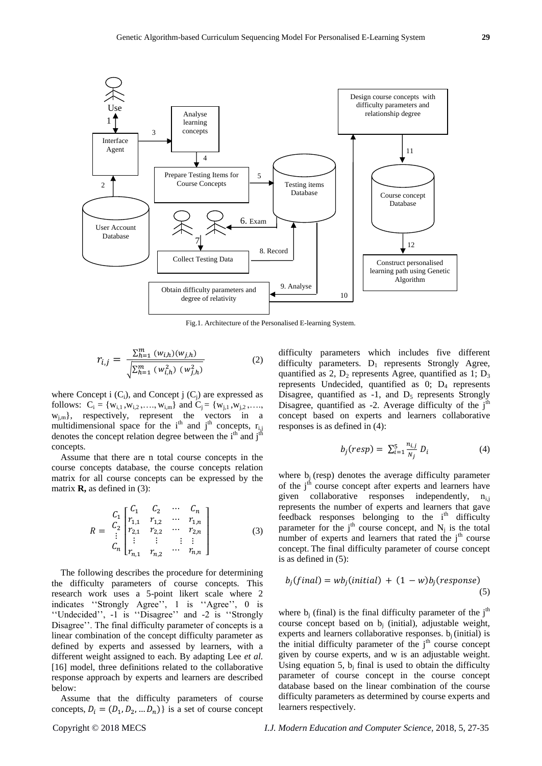

Fig.1. Architecture of the Personalised E-learning System.

$$
r_{i,j} = \frac{\sum_{h=1}^{m} (w_{i,h})(w_{j,h})}{\sqrt{\sum_{h=1}^{m} (w_{i,h}^2) (w_{j,h}^2)}}
$$
(2)

where Concept i  $(C_i)$ , and Concept j  $(C_i)$  are expressed as follows:  $C_i = \{w_{i,1}, w_{i,2}, \ldots, w_{i,m}\}\$ and  $C_j = \{w_{j,1}, w_{j,2}, \ldots, w_{j,m}\}\$  $w_{i,m}$ , respectively, represent the vectors in a multidimensional space for the i<sup>th</sup> and j<sup>th</sup> concepts,  $r_{i,j}$ denotes the concept relation degree between the  $i<sup>th</sup>$  and  $j<sup>th</sup>$ concepts.

Assume that there are n total course concepts in the course concepts database, the course concepts relation matrix for all course concepts can be expressed by the matrix **R,** as defined in (3):

$$
R = \begin{bmatrix} C_1 & C_2 & \cdots & C_n \\ r_{1,1} & r_{1,2} & \cdots & r_{1,n} \\ r_{2,1} & r_{2,2} & \cdots & r_{2,n} \\ \vdots & \vdots & \vdots & \vdots \\ r_{n,1} & r_{n,2} & \cdots & r_{n,n} \end{bmatrix}
$$
 (3)

The following describes the procedure for determining the difficulty parameters of course concepts. This research work uses a 5-point likert scale where 2 indicates ''Strongly Agree'', 1 is ''Agree'', 0 is ''Undecided'', -1 is ''Disagree'' and -2 is ''Strongly Disagree''. The final difficulty parameter of concepts is a linear combination of the concept difficulty parameter as defined by experts and assessed by learners, with a different weight assigned to each. By adapting Lee *et al.* [16] model, three definitions related to the collaborative response approach by experts and learners are described below:

Assume that the difficulty parameters of course concepts,  $D_i = (D_1, D_2, ... D_n)$  is a set of course concept difficulty parameters which includes five different difficulty parameters.  $D_1$  represents Strongly Agree, quantified as 2,  $D_2$  represents Agree, quantified as 1;  $D_3$ represents Undecided, quantified as 0; D<sup>4</sup> represents Disagree, quantified as  $-1$ , and  $D_5$  represents Strongly Disagree, quantified as  $-2$ . Average difficulty of the j<sup>th</sup> concept based on experts and learners collaborative responses is as defined in (4):

$$
b_j(resp) = \sum_{i=1}^{5} \frac{n_{i,j}}{N_j} D_i \tag{4}
$$

where  $b_i$  (resp) denotes the average difficulty parameter of the  $j<sup>th</sup>$  course concept after experts and learners have given collaborative responses independently,  $n_{i,j}$ represents the number of experts and learners that gave feedback responses belonging to the  $i<sup>th</sup>$  difficulty parameter for the  $j<sup>th</sup>$  course concept, and  $N_j$  is the total number of experts and learners that rated the  $j<sup>th</sup>$  course concept. The final difficulty parameter of course concept is as defined in (5):

$$
b_j(final) = wb_j(inital) + (1 - w)b_j(respose)
$$
\n(5)

where  $b_i$  (final) is the final difficulty parameter of the  $i<sup>th</sup>$ course concept based on b<sup>j</sup> (initial), adjustable weight, experts and learners collaborative responses.  $b_i$  (initial) is the initial difficulty parameter of the  $j<sup>th</sup>$  course concept given by course experts, and w is an adjustable weight. Using equation 5,  $b_j$  final is used to obtain the difficulty parameter of course concept in the course concept database based on the linear combination of the course difficulty parameters as determined by course experts and learners respectively.

Copyright © 2018 MECS *I.J. Modern Education and Computer Science,* 2018, 5, 27-35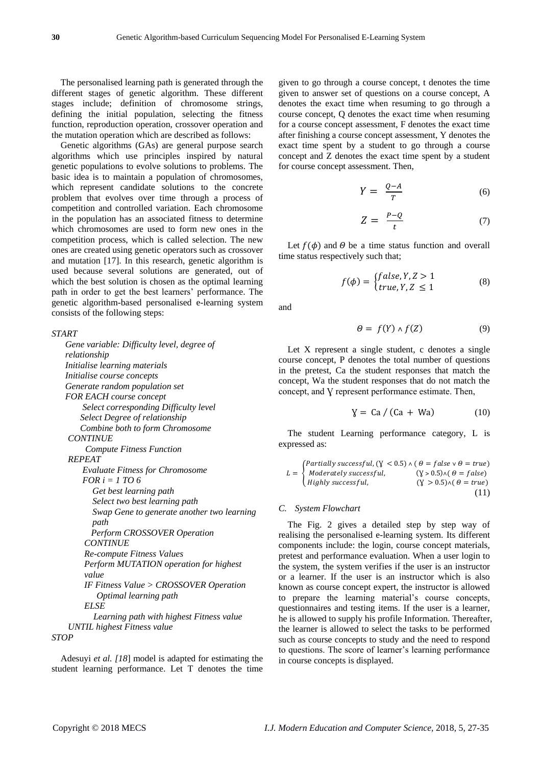The personalised learning path is generated through the different stages of genetic algorithm. These different stages include; definition of chromosome strings, defining the initial population, selecting the fitness function, reproduction operation, crossover operation and the mutation operation which are described as follows:

Genetic algorithms (GAs) are general purpose search algorithms which use principles inspired by natural genetic populations to evolve solutions to problems. The basic idea is to maintain a population of chromosomes, which represent candidate solutions to the concrete problem that evolves over time through a process of competition and controlled variation. Each chromosome in the population has an associated fitness to determine which chromosomes are used to form new ones in the competition process, which is called selection. The new ones are created using genetic operators such as crossover and mutation [17]. In this research, genetic algorithm is used because several solutions are generated, out of which the best solution is chosen as the optimal learning path in order to get the best learners' performance. The genetic algorithm-based personalised e-learning system consists of the following steps:

#### *START*

 *Gene variable: Difficulty level, degree of relationship Initialise learning materials Initialise course concepts Generate random population set FOR EACH course concept Select corresponding Difficulty level Select Degree of relationship Combine both to form Chromosome CONTINUE Compute Fitness Function REPEAT Evaluate Fitness for Chromosome FOR i = 1 TO 6 Get best learning path Select two best learning path Swap Gene to generate another two learning path Perform CROSSOVER Operation CONTINUE Re-compute Fitness Values Perform MUTATION operation for highest value IF Fitness Value > CROSSOVER Operation Optimal learning path ELSE Learning path with highest Fitness value UNTIL highest Fitness value STOP*

Adesuyi *et al. [18*] model is adapted for estimating the student learning performance. Let T denotes the time given to go through a course concept, t denotes the time given to answer set of questions on a course concept, A denotes the exact time when resuming to go through a course concept, Q denotes the exact time when resuming for a course concept assessment, F denotes the exact time after finishing a course concept assessment, Y denotes the exact time spent by a student to go through a course concept and Z denotes the exact time spent by a student for course concept assessment. Then,

$$
Y = \frac{Q - A}{T} \tag{6}
$$

$$
Z = \frac{P - Q}{t} \tag{7}
$$

Let  $f(\phi)$  and  $\Theta$  be a time status function and overall time status respectively such that;

$$
f(\phi) = \begin{cases} false, Y, Z > 1\\ true, Y, Z \le 1 \end{cases}
$$
 (8)

and

$$
\Theta = f(Y) \wedge f(Z) \tag{9}
$$

Let X represent a single student, c denotes a single course concept, P denotes the total number of questions in the pretest, Ca the student responses that match the concept, Wa the student responses that do not match the concept, and V represent performance estimate. Then,

$$
Y = Ca / (Ca + Wa)
$$
 (10)

The student Learning performance category, L is expressed as:

$$
L = \begin{cases} \nPartially successful, (Y < 0.5) \land (\theta = false \lor \theta = true) \\
\text{Modernately successful,} & (Y > 0.5) \land (\theta = false) \\
\text{Highly successful,} & (Y > 0.5) \land (\theta = true) \\
\end{cases} \tag{11}
$$

#### *C. System Flowchart*

The Fig. 2 gives a detailed step by step way of realising the personalised e-learning system. Its different components include: the login, course concept materials, pretest and performance evaluation. When a user login to the system, the system verifies if the user is an instructor or a learner. If the user is an instructor which is also known as course concept expert, the instructor is allowed to prepare the learning material's course concepts, questionnaires and testing items. If the user is a learner, he is allowed to supply his profile Information. Thereafter, the learner is allowed to select the tasks to be performed such as course concepts to study and the need to respond to questions. The score of learner's learning performance in course concepts is displayed.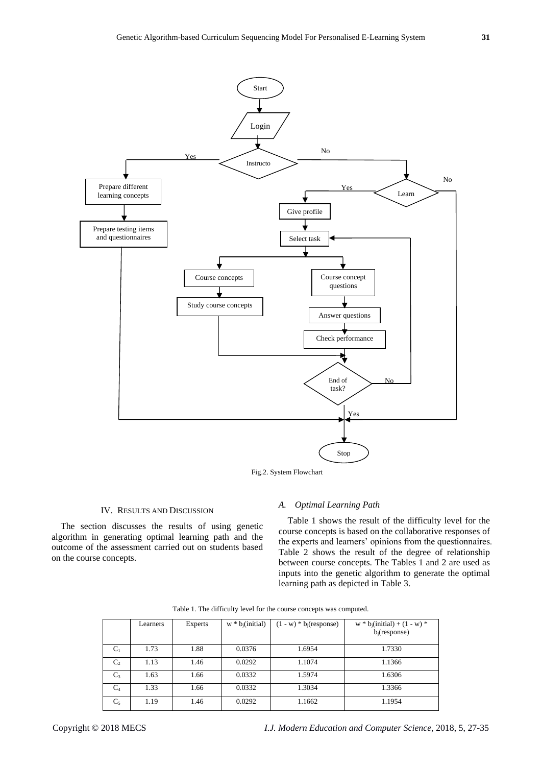

Fig.2. System Flowchart

#### IV. RESULTS AND DISCUSSION

The section discusses the results of using genetic algorithm in generating optimal learning path and the outcome of the assessment carried out on students based on the course concepts.

#### *A. Optimal Learning Path*

Table 1 shows the result of the difficulty level for the course concepts is based on the collaborative responses of the experts and learners' opinions from the questionnaires. Table 2 shows the result of the degree of relationship between course concepts. The Tables 1 and 2 are used as inputs into the genetic algorithm to generate the optimal learning path as depicted in Table 3.

|                | Learners | <b>Experts</b> | $w * b_i$ (initial) | $(1 - w) * b_i$ (response) | $w * b_j$ (initial) + (1 - w) *<br>$b_i$ (response) |
|----------------|----------|----------------|---------------------|----------------------------|-----------------------------------------------------|
| $C_1$          | 1.73     | 1.88           | 0.0376              | 1.6954                     | 1.7330                                              |
| C <sub>2</sub> | 1.13     | 1.46           | 0.0292              | 1.1074                     | 1.1366                                              |
| $C_3$          | 1.63     | 1.66           | 0.0332              | 1.5974                     | 1.6306                                              |
| $C_4$          | 1.33     | 1.66           | 0.0332              | 1.3034                     | 1.3366                                              |
| $C_5$          | 1.19     | 1.46           | 0.0292              | 1.1662                     | 1.1954                                              |

Table 1. The difficulty level for the course concepts was computed.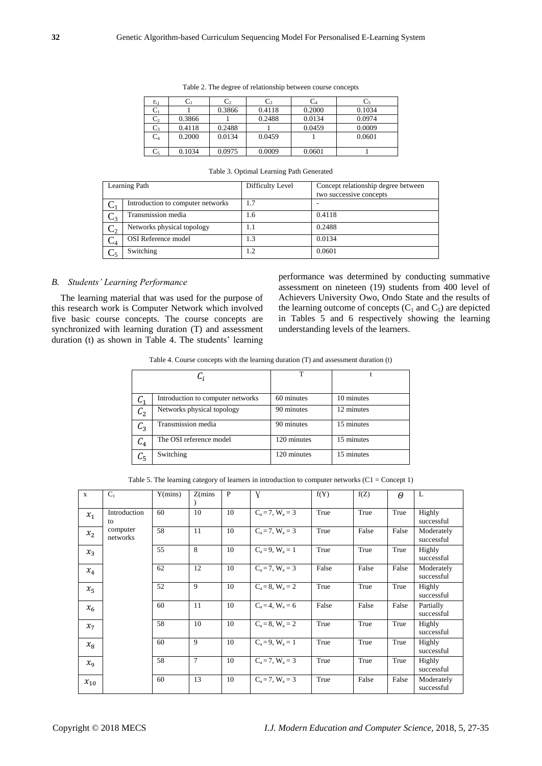| $r_{i,i}$      |        | しっ     | U٩     | $\mathrm{C}_4$ | C٢     |
|----------------|--------|--------|--------|----------------|--------|
|                |        | 0.3866 | 0.4118 | 0.2000         | 0.1034 |
| C <sub>2</sub> | 0.3866 |        | 0.2488 | 0.0134         | 0.0974 |
| $\mathrm{C}_3$ | 0.4118 | 0.2488 |        | 0.0459         | 0.0009 |
| $C_4$          | 0.2000 | 0.0134 | 0.0459 |                | 0.0601 |
|                |        |        |        |                |        |
| $C_5$          | 0.1034 | 0.0975 | 0.0009 | 0.0601         |        |

Table 2. The degree of relationship between course concepts

|                | Learning Path                     | Difficulty Level | Concept relationship degree between<br>two successive concepts |
|----------------|-----------------------------------|------------------|----------------------------------------------------------------|
|                | Introduction to computer networks |                  |                                                                |
| 3.با           | Transmission media                | 1.6              | 0.4118                                                         |
| $\mathrm{C}_2$ | Networks physical topology        | 1.1              | 0.2488                                                         |
| $\mathrm{C}_4$ | <b>OSI</b> Reference model        | 1.3              | 0.0134                                                         |
|                | Switching                         | 1.2              | 0.0601                                                         |

Table 3. Optimal Learning Path Generated

# *B. Students' Learning Performance*

The learning material that was used for the purpose of this research work is Computer Network which involved five basic course concepts. The course concepts are synchronized with learning duration (T) and assessment duration (t) as shown in Table 4. The students' learning performance was determined by conducting summative assessment on nineteen (19) students from 400 level of Achievers University Owo, Ondo State and the results of the learning outcome of concepts  $(C_1 \text{ and } C_5)$  are depicted in Tables 5 and 6 respectively showing the learning understanding levels of the learners.

Table 4. Course concepts with the learning duration (T) and assessment duration (t)

|                | $C_i$                             | T           |            |  |  |
|----------------|-----------------------------------|-------------|------------|--|--|
|                |                                   |             |            |  |  |
| L1             | Introduction to computer networks | 60 minutes  | 10 minutes |  |  |
| C <sub>2</sub> | Networks physical topology        | 90 minutes  | 12 minutes |  |  |
| $C_3$          | Transmission media                | 90 minutes  | 15 minutes |  |  |
| $C_4$          | The OSI reference model           | 120 minutes | 15 minutes |  |  |
| $C_5$          | Switching                         | 120 minutes | 15 minutes |  |  |

Table 5. The learning category of learners in introduction to computer networks  $(C1 = Concept 1)$ 

| $\mathbf{x}$               | $C_1$                | Y(mins) | Z(mins) | P  | Y                     | f(Y)  | f(Z)  | $\boldsymbol{\theta}$ | L                        |
|----------------------------|----------------------|---------|---------|----|-----------------------|-------|-------|-----------------------|--------------------------|
| $x_1$                      | Introduction<br>to   | 60      | 10      | 10 | $C_a = 7$ , $W_a = 3$ | True  | True  | True                  | Highly<br>successful     |
| x <sub>2</sub>             | computer<br>networks | 58      | 11      | 10 | $C_a = 7$ , $W_a = 3$ | True  | False | False                 | Moderately<br>successful |
| $x_3$                      |                      | 55      | 8       | 10 | $C_a = 9, W_a = 1$    | True  | True  | True                  | Highly<br>successful     |
| $\mathcal{X}_4$            |                      | 62      | 12      | 10 | $C_a = 7$ , $W_a = 3$ | False | False | False                 | Moderately<br>successful |
| $x_{5}$                    |                      | 52      | 9       | 10 | $C_a = 8$ , $W_a = 2$ | True  | True  | True                  | Highly<br>successful     |
| $x_{6}$                    |                      | 60      | 11      | 10 | $C_a = 4$ , $W_a = 6$ | False | False | False                 | Partially<br>successful  |
| $x_{7}$                    |                      | 58      | 10      | 10 | $C_a = 8$ , $W_a = 2$ | True  | True  | True                  | Highly<br>successful     |
| $x_{8}$                    |                      | 60      | 9       | 10 | $C_a = 9$ , $W_a = 1$ | True  | True  | True                  | Highly<br>successful     |
| $\mathcal{X}_{\mathbf{Q}}$ |                      | 58      | 7       | 10 | $C_a = 7$ , $W_a = 3$ | True  | True  | True                  | Highly<br>successful     |
| $x_{10}$                   |                      | 60      | 13      | 10 | $C_a = 7$ , $W_a = 3$ | True  | False | False                 | Moderately<br>successful |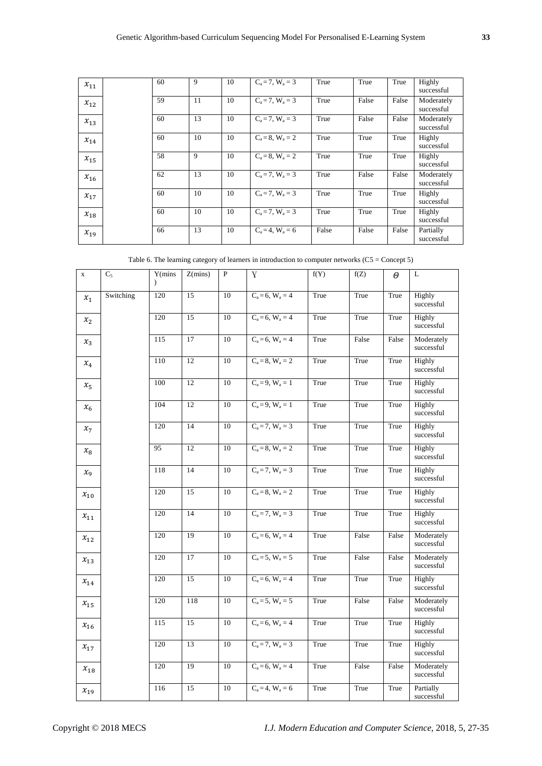| $x_{11}$ | 60 | 9  | 10 | $C_a = 7$ , $W_a = 3$ | True  | True  | True  | Highly<br>successful     |
|----------|----|----|----|-----------------------|-------|-------|-------|--------------------------|
| $x_{12}$ | 59 | 11 | 10 | $C_a = 7$ , $W_a = 3$ | True  | False | False | Moderately<br>successful |
| $x_{13}$ | 60 | 13 | 10 | $C_a = 7$ , $W_a = 3$ | True  | False | False | Moderately<br>successful |
| $x_{14}$ | 60 | 10 | 10 | $C_a = 8$ , $W_a = 2$ | True  | True  | True  | Highly<br>successful     |
| $x_{15}$ | 58 | 9  | 10 | $C_a = 8$ , $W_a = 2$ | True  | True  | True  | Highly<br>successful     |
| $x_{16}$ | 62 | 13 | 10 | $C_a = 7$ , $W_a = 3$ | True  | False | False | Moderately<br>successful |
| $x_{17}$ | 60 | 10 | 10 | $C_a = 7$ , $W_a = 3$ | True  | True  | True  | Highly<br>successful     |
| $x_{18}$ | 60 | 10 | 10 | $C_a = 7$ , $W_a = 3$ | True  | True  | True  | Highly<br>successful     |
| $x_{19}$ | 66 | 13 | 10 | $C_a = 4$ , $W_a = 6$ | False | False | False | Partially<br>successful  |

| Table 6. The learning category of learners in introduction to computer networks $(C5 = \text{Concept } 5)$ |  |
|------------------------------------------------------------------------------------------------------------|--|
|                                                                                                            |  |

| $\mathbf x$ | $\overline{C}_5$ | Y(mins)<br>$\lambda$ | Z(mins)         | $\overline{\mathbf{P}}$ | Y                     | f(Y)                  | f(Z)  | $\theta$ | L                          |                      |
|-------------|------------------|----------------------|-----------------|-------------------------|-----------------------|-----------------------|-------|----------|----------------------------|----------------------|
| $x_1$       | Switching        | 120                  | $\overline{15}$ | 10                      | $C_a = 6$ , $W_a = 4$ | True                  | True  | True     | Highly<br>successful       |                      |
| $x_2$       |                  | 120                  | 15              | 10                      | $C_a = 6$ , $W_a = 4$ | True                  | True  | True     | Highly<br>successful       |                      |
| $x_3$       |                  | 115                  | 17              | 10                      | $C_a = 6$ , $W_a = 4$ | True                  | False | False    | Moderately<br>successful   |                      |
| $x_4$       |                  | 110                  | 12              | 10                      | $C_a = 8$ , $W_a = 2$ | True                  | True  | True     | Highly<br>successful       |                      |
| $x_{5}$     |                  | 100                  | 12              | $10\,$                  | $C_a = 9, W_a = 1$    | True                  | True  | True     | Highly<br>successful       |                      |
| $x_6$       |                  | 104                  | 12              | 10                      | $C_a = 9, W_a = 1$    | True                  | True  | True     | Highly<br>$\rm successful$ |                      |
| $x_7$       |                  | 120                  | 14              | 10                      | $C_a = 7$ , $W_a = 3$ | True                  | True  | True     | Highly<br>successful       |                      |
| $x_8$       |                  | 95                   | 12              | 10                      | $C_a = 8$ , $W_a = 2$ | True                  | True  | True     | Highly<br>successful       |                      |
| $x_{9}$     |                  | 118                  | 14              | 10                      | $C_a = 7$ , $W_a = 3$ | True                  | True  | True     | Highly<br>successful       |                      |
| $x_{10}$    |                  | 120                  | 15              | 10                      | $C_a = 8$ , $W_a = 2$ | True                  | True  | True     | Highly<br>successful       |                      |
| $x_{11}$    |                  | 120                  | 14              | 10                      | $C_a = 7$ , $W_a = 3$ | True                  | True  | True     | Highly<br>successful       |                      |
| $x_{12}$    |                  | 120                  | 19              | 10                      | $C_a = 6$ , $W_a = 4$ | True                  | False | False    | Moderately<br>successful   |                      |
| $x_{13}$    |                  | 120                  | 17              | 10                      | $C_a = 5$ , $W_a = 5$ | True                  | False | False    | Moderately<br>successful   |                      |
| $x_{14}$    |                  |                      | 120             | 15                      | 10                    | $C_a = 6$ , $W_a = 4$ | True  | True     | True                       | Highly<br>successful |
| $x_{15}$    |                  | 120                  | 118             | 10                      | $C_a = 5$ , $W_a = 5$ | True                  | False | False    | Moderately<br>successful   |                      |
| $x_{16}$    |                  | $\overline{115}$     | 15              | 10                      | $C_a = 6$ , $W_a = 4$ | True                  | True  | True     | Highly<br>successful       |                      |
| $x_{17}$    |                  | 120                  | 13              | 10                      | $C_a = 7$ , $W_a = 3$ | True                  | True  | True     | Highly<br>successful       |                      |
| $x_{18}$    |                  | 120                  | 19              | 10                      | $C_a = 6$ , $W_a = 4$ | True                  | False | False    | Moderately<br>successful   |                      |
| $x_{19}$    |                  | 116                  | 15              | 10                      | $C_a = 4$ , $W_a = 6$ | True                  | True  | True     | Partially<br>successful    |                      |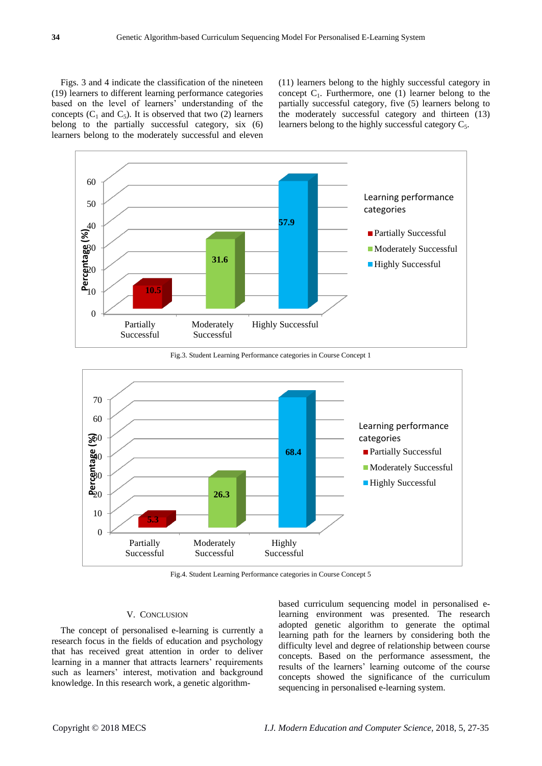Figs. 3 and 4 indicate the classification of the nineteen (19) learners to different learning performance categories based on the level of learners' understanding of the concepts  $(C_1$  and  $C_5$ ). It is observed that two  $(2)$  learners belong to the partially successful category, six (6) learners belong to the moderately successful and eleven

(11) learners belong to the highly successful category in concept  $C_1$ . Furthermore, one (1) learner belong to the partially successful category, five (5) learners belong to the moderately successful category and thirteen (13) learners belong to the highly successful category  $C_5$ .



Fig.3. Student Learning Performance categories in Course Concept 1



Fig.4. Student Learning Performance categories in Course Concept 5

# V.CONCLUSION

The concept of personalised e-learning is currently a research focus in the fields of education and psychology that has received great attention in order to deliver learning in a manner that attracts learners' requirements such as learners' interest, motivation and background knowledge. In this research work, a genetic algorithmbased curriculum sequencing model in personalised elearning environment was presented. The research adopted genetic algorithm to generate the optimal learning path for the learners by considering both the difficulty level and degree of relationship between course concepts. Based on the performance assessment, the results of the learners' learning outcome of the course concepts showed the significance of the curriculum sequencing in personalised e-learning system.